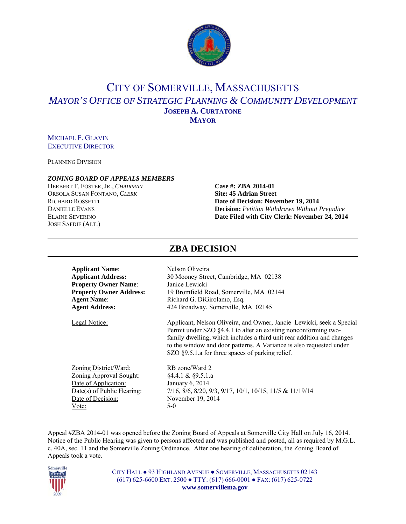

## CITY OF SOMERVILLE, MASSACHUSETTS *MAYOR'S OFFICE OF STRATEGIC PLANNING & COMMUNITY DEVELOPMENT* **JOSEPH A. CURTATONE MAYOR**

### MICHAEL F. GLAVIN EXECUTIVE DIRECTOR

PLANNING DIVISION

### *ZONING BOARD OF APPEALS MEMBERS*

HERBERT F. FOSTER, JR., *CHAIRMAN* **Case #: ZBA 2014-01** ORSOLA SUSAN FONTANO, *CLERK* **Site: 45 Adrian Street** JOSH SAFDIE (ALT.)

# RICHARD ROSSETTI **Date of Decision: November 19, 2014** DANIELLE EVANS **Decision:** *Petition Withdrawn Without Prejudice* ELAINE SEVERINO **Date Filed with City Clerk: November 24, 2014**

| <b>Applicant Name:</b>         | Nelson Oliveira                                                                                                                                                                                                                                                                                                                               |
|--------------------------------|-----------------------------------------------------------------------------------------------------------------------------------------------------------------------------------------------------------------------------------------------------------------------------------------------------------------------------------------------|
| <b>Applicant Address:</b>      | 30 Mooney Street, Cambridge, MA 02138                                                                                                                                                                                                                                                                                                         |
| <b>Property Owner Name:</b>    | Janice Lewicki                                                                                                                                                                                                                                                                                                                                |
| <b>Property Owner Address:</b> | 19 Bromfield Road, Somerville, MA 02144                                                                                                                                                                                                                                                                                                       |
| <b>Agent Name:</b>             | Richard G. DiGirolamo, Esq.                                                                                                                                                                                                                                                                                                                   |
| <b>Agent Address:</b>          | 424 Broadway, Somerville, MA 02145                                                                                                                                                                                                                                                                                                            |
| Legal Notice:                  | Applicant, Nelson Oliveira, and Owner, Jancie Lewicki, seek a Special<br>Permit under SZO §4.4.1 to alter an existing nonconforming two-<br>family dwelling, which includes a third unit rear addition and changes<br>to the window and door patterns. A Variance is also requested under<br>SZO §9.5.1.a for three spaces of parking relief. |
| Zoning District/Ward:          | RB zone/Ward 2                                                                                                                                                                                                                                                                                                                                |
| <b>Zoning Approval Sought:</b> | $§4.4.1 \& \$9.5.1.a$                                                                                                                                                                                                                                                                                                                         |
| Date of Application:           | January 6, 2014                                                                                                                                                                                                                                                                                                                               |
| Date(s) of Public Hearing:     | 7/16, 8/6, 8/20, 9/3, 9/17, 10/1, 10/15, 11/5 & 11/19/14                                                                                                                                                                                                                                                                                      |
| Date of Decision:              | November 19, 2014                                                                                                                                                                                                                                                                                                                             |
| Vote:                          | $5-0$                                                                                                                                                                                                                                                                                                                                         |

**ZBA DECISION** 

Appeal #ZBA 2014-01 was opened before the Zoning Board of Appeals at Somerville City Hall on July 16, 2014. Notice of the Public Hearing was given to persons affected and was published and posted, all as required by M.G.L. c. 40A, sec. 11 and the Somerville Zoning Ordinance. After one hearing of deliberation, the Zoning Board of Appeals took a vote.



CITY HALL ● 93 HIGHLAND AVENUE ● SOMERVILLE, MASSACHUSETTS 02143 (617) 625-6600 EXT. 2500 ● TTY: (617) 666-0001 ● FAX: (617) 625-0722 **www.somervillema.gov**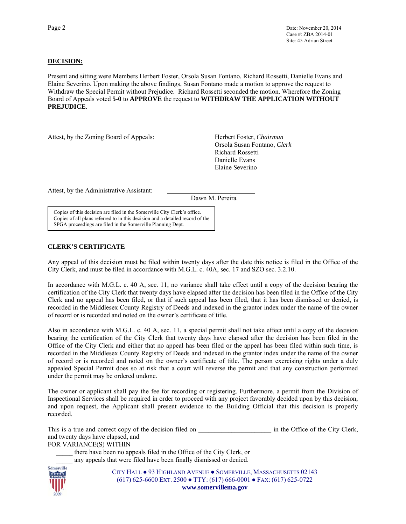### **DECISION:**

Present and sitting were Members Herbert Foster, Orsola Susan Fontano, Richard Rossetti, Danielle Evans and Elaine Severino. Upon making the above findings, Susan Fontano made a motion to approve the request to Withdraw the Special Permit without Prejudice. Richard Rossetti seconded the motion. Wherefore the Zoning Board of Appeals voted **5-0** to **APPROVE** the request to **WITHDRAW THE APPLICATION WITHOUT PREJUDICE**.

Attest, by the Zoning Board of Appeals: Herbert Foster, *Chairman*

 Orsola Susan Fontano, *Clerk* Richard Rossetti Danielle Evans Elaine Severino

Attest, by the Administrative Assistant:

Dawn M. Pereira

Copies of this decision are filed in the Somerville City Clerk's office. Copies of all plans referred to in this decision and a detailed record of the SPGA proceedings are filed in the Somerville Planning Dept.

### **CLERK'S CERTIFICATE**

Any appeal of this decision must be filed within twenty days after the date this notice is filed in the Office of the City Clerk, and must be filed in accordance with M.G.L. c. 40A, sec. 17 and SZO sec. 3.2.10.

In accordance with M.G.L. c. 40 A, sec. 11, no variance shall take effect until a copy of the decision bearing the certification of the City Clerk that twenty days have elapsed after the decision has been filed in the Office of the City Clerk and no appeal has been filed, or that if such appeal has been filed, that it has been dismissed or denied, is recorded in the Middlesex County Registry of Deeds and indexed in the grantor index under the name of the owner of record or is recorded and noted on the owner's certificate of title.

Also in accordance with M.G.L. c. 40 A, sec. 11, a special permit shall not take effect until a copy of the decision bearing the certification of the City Clerk that twenty days have elapsed after the decision has been filed in the Office of the City Clerk and either that no appeal has been filed or the appeal has been filed within such time, is recorded in the Middlesex County Registry of Deeds and indexed in the grantor index under the name of the owner of record or is recorded and noted on the owner's certificate of title. The person exercising rights under a duly appealed Special Permit does so at risk that a court will reverse the permit and that any construction performed under the permit may be ordered undone.

The owner or applicant shall pay the fee for recording or registering. Furthermore, a permit from the Division of Inspectional Services shall be required in order to proceed with any project favorably decided upon by this decision, and upon request, the Applicant shall present evidence to the Building Official that this decision is properly recorded.

This is a true and correct copy of the decision filed on \_\_\_\_\_\_\_\_\_\_\_\_\_\_\_\_\_\_\_\_\_\_\_\_ in the Office of the City Clerk, and twenty days have elapsed, and FOR VARIANCE(S) WITHIN

 \_\_\_\_\_ there have been no appeals filed in the Office of the City Clerk, or any appeals that were filed have been finally dismissed or denied.



CITY HALL ● 93 HIGHLAND AVENUE ● SOMERVILLE, MASSACHUSETTS 02143 (617) 625-6600 EXT. 2500 ● TTY: (617) 666-0001 ● FAX: (617) 625-0722 **www.somervillema.gov**